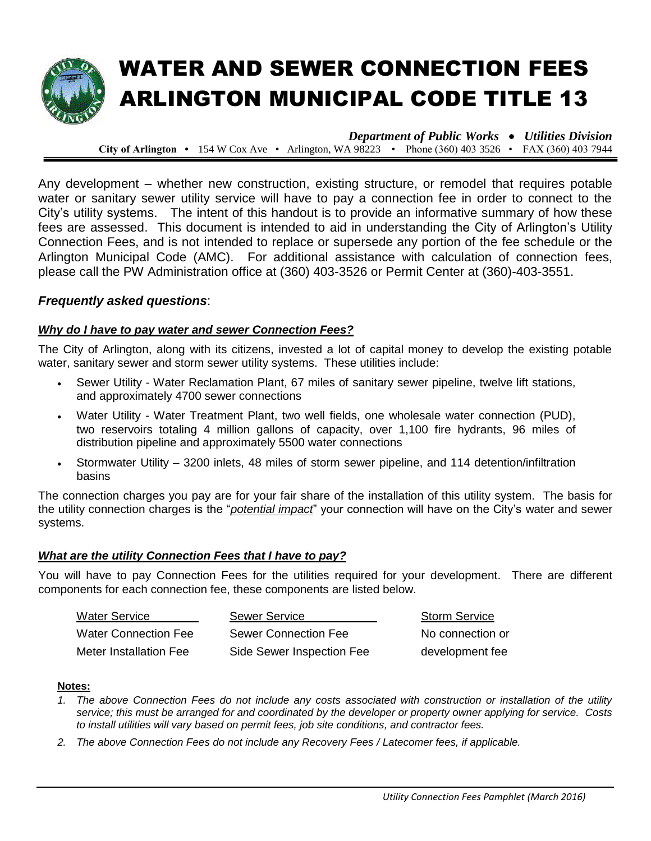

# WATER AND SEWER CONNECTION FEES ARLINGTON MUNICIPAL CODE TITLE 13

*Department of Public Works Utilities Division* **City of Arlington •** 154 W Cox Ave • Arlington, WA 98223 • Phone (360) 403 3526 • FAX (360) 403 7944

Any development – whether new construction, existing structure, or remodel that requires potable water or sanitary sewer utility service will have to pay a connection fee in order to connect to the City's utility systems. The intent of this handout is to provide an informative summary of how these fees are assessed. This document is intended to aid in understanding the City of Arlington's Utility Connection Fees, and is not intended to replace or supersede any portion of the fee schedule or the Arlington Municipal Code (AMC). For additional assistance with calculation of connection fees, please call the PW Administration office at (360) 403-3526 or Permit Center at (360)-403-3551.

# *Frequently asked questions*:

#### *Why do I have to pay water and sewer Connection Fees?*

The City of Arlington, along with its citizens, invested a lot of capital money to develop the existing potable water, sanitary sewer and storm sewer utility systems. These utilities include:

- Sewer Utility Water Reclamation Plant, 67 miles of sanitary sewer pipeline, twelve lift stations, and approximately 4700 sewer connections
- Water Utility Water Treatment Plant, two well fields, one wholesale water connection (PUD), two reservoirs totaling 4 million gallons of capacity, over 1,100 fire hydrants, 96 miles of distribution pipeline and approximately 5500 water connections
- Stormwater Utility 3200 inlets, 48 miles of storm sewer pipeline, and 114 detention/infiltration basins

The connection charges you pay are for your fair share of the installation of this utility system. The basis for the utility connection charges is the "*potential impact*" your connection will have on the City's water and sewer systems.

#### *What are the utility Connection Fees that I have to pay?*

You will have to pay Connection Fees for the utilities required for your development. There are different components for each connection fee, these components are listed below.

| <b>Water Service</b>        | <b>Sewer Service</b>      | <b>Storm Service</b> |
|-----------------------------|---------------------------|----------------------|
| <b>Water Connection Fee</b> | Sewer Connection Fee      | No connection or     |
| Meter Installation Fee      | Side Sewer Inspection Fee | development fee      |

#### **Notes:**

- *1. The above Connection Fees do not include any costs associated with construction or installation of the utility service; this must be arranged for and coordinated by the developer or property owner applying for service. Costs to install utilities will vary based on permit fees, job site conditions, and contractor fees.*
- *2. The above Connection Fees do not include any Recovery Fees / Latecomer fees, if applicable.*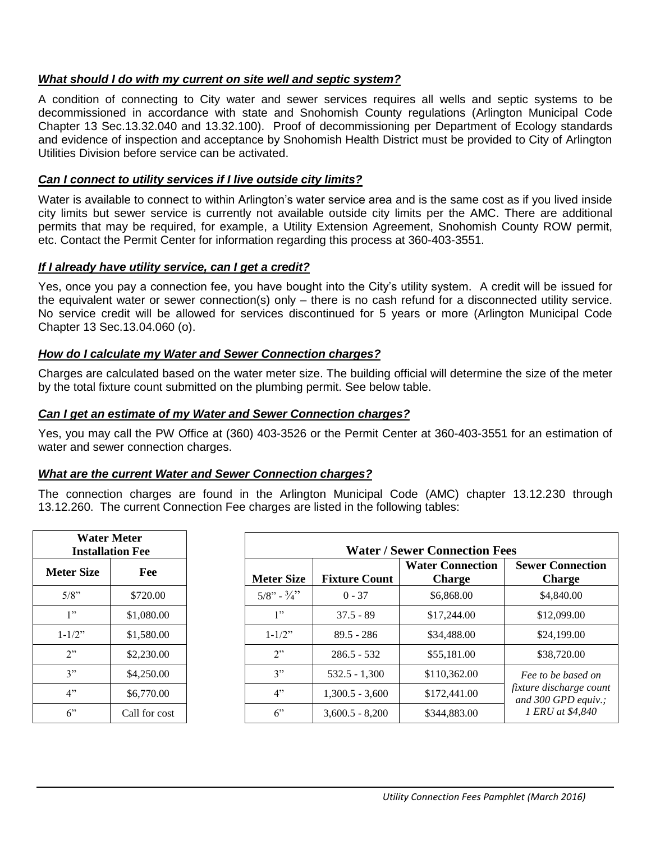### *What should I do with my current on site well and septic system?*

A condition of connecting to City water and sewer services requires all wells and septic systems to be decommissioned in accordance with state and Snohomish County regulations (Arlington Municipal Code Chapter 13 Sec.13.32.040 and 13.32.100). Proof of decommissioning per Department of Ecology standards and evidence of inspection and acceptance by Snohomish Health District must be provided to City of Arlington Utilities Division before service can be activated.

### *Can I connect to utility services if I live outside city limits?*

Water is available to connect to within Arlington's water service area and is the same cost as if you lived inside city limits but sewer service is currently not available outside city limits per the AMC. There are additional permits that may be required, for example, a Utility Extension Agreement, Snohomish County ROW permit, etc. Contact the Permit Center for information regarding this process at 360-403-3551.

#### *If I already have utility service, can I get a credit?*

Yes, once you pay a connection fee, you have bought into the City's utility system. A credit will be issued for the equivalent water or sewer connection(s) only – there is no cash refund for a disconnected utility service. No service credit will be allowed for services discontinued for 5 years or more (Arlington Municipal Code Chapter 13 Sec.13.04.060 (o).

# *How do I calculate my Water and Sewer Connection charges?*

Charges are calculated based on the water meter size. The building official will determine the size of the meter by the total fixture count submitted on the plumbing permit. See below table.

# *Can I get an estimate of my Water and Sewer Connection charges?*

Yes, you may call the PW Office at (360) 403-3526 or the Permit Center at 360-403-3551 for an estimation of water and sewer connection charges.

#### *What are the current Water and Sewer Connection charges?*

The connection charges are found in the Arlington Municipal Code (AMC) chapter 13.12.230 through 13.12.260. The current Connection Fee charges are listed in the following tables:

|                   | <b>Water Meter</b><br><b>Installation Fee</b> |                         | <b>Water / Sewer Connection Fees</b> |                                          |                                                |
|-------------------|-----------------------------------------------|-------------------------|--------------------------------------|------------------------------------------|------------------------------------------------|
| <b>Meter Size</b> | Fee                                           | <b>Meter Size</b>       | <b>Fixture Count</b>                 | <b>Water Connection</b><br><b>Charge</b> | <b>Sewer Connection</b><br><b>Charge</b>       |
| $5/8$ "           | \$720.00                                      | $5/8"$ - $\frac{3}{4}"$ | $0 - 37$                             | \$6,868.00                               | \$4,840.00                                     |
| 1"                | \$1,080.00                                    | 1"                      | $37.5 - 89$                          | \$17,244.00                              | \$12,099.00                                    |
| $1 - 1/2$ "       | \$1,580.00                                    | $1 - 1/2$ "             | $89.5 - 286$                         | \$34,488,00                              | \$24,199.00                                    |
| 2"                | \$2,230.00                                    | 2"                      | $286.5 - 532$                        | \$55,181.00                              | \$38,720.00                                    |
| 3"                | \$4,250.00                                    | 3"                      | $532.5 - 1,300$                      | \$110,362.00                             | Fee to be based on                             |
| 4"                | \$6,770.00                                    | 4"                      | $1,300.5 - 3,600$                    | \$172,441.00                             | fixture discharge count<br>and 300 GPD equiv.; |
| 6                 | Call for cost                                 | 6                       | $3,600.5 - 8,200$                    | \$344,883.00                             | 1 ERU at \$4,840                               |